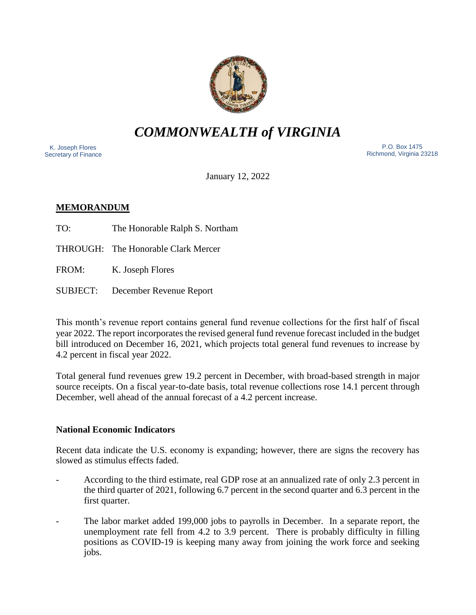

*COMMONWEALTH of VIRGINIA*

 K. Joseph Flores Secretary of Finance

 P.O. Box 1475 Richmond, Virginia 23218

January 12, 2022

# **MEMORANDUM**

TO: The Honorable Ralph S. Northam

THROUGH: The Honorable Clark Mercer

FROM: K. Joseph Flores

SUBJECT: December Revenue Report

This month's revenue report contains general fund revenue collections for the first half of fiscal year 2022. The report incorporates the revised general fund revenue forecast included in the budget bill introduced on December 16, 2021, which projects total general fund revenues to increase by 4.2 percent in fiscal year 2022.

Total general fund revenues grew 19.2 percent in December, with broad-based strength in major source receipts. On a fiscal year-to-date basis, total revenue collections rose 14.1 percent through December, well ahead of the annual forecast of a 4.2 percent increase.

## **National Economic Indicators**

Recent data indicate the U.S. economy is expanding; however, there are signs the recovery has slowed as stimulus effects faded.

- According to the third estimate, real GDP rose at an annualized rate of only 2.3 percent in the third quarter of 2021, following 6.7 percent in the second quarter and 6.3 percent in the first quarter.
- The labor market added 199,000 jobs to payrolls in December. In a separate report, the unemployment rate fell from 4.2 to 3.9 percent. There is probably difficulty in filling positions as COVID-19 is keeping many away from joining the work force and seeking jobs.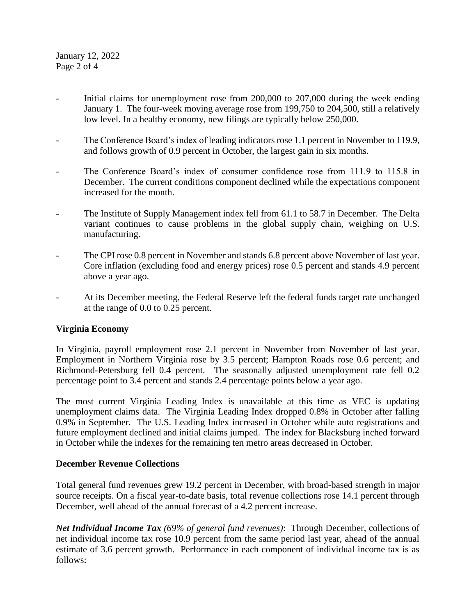January 12, 2022 Page 2 of 4

- Initial claims for unemployment rose from 200,000 to 207,000 during the week ending January 1. The four-week moving average rose from 199,750 to 204,500, still a relatively low level. In a healthy economy, new filings are typically below 250,000.
- The Conference Board's index of leading indicators rose 1.1 percent in November to 119.9, and follows growth of 0.9 percent in October, the largest gain in six months.
- The Conference Board's index of consumer confidence rose from 111.9 to 115.8 in December. The current conditions component declined while the expectations component increased for the month.
- The Institute of Supply Management index fell from 61.1 to 58.7 in December. The Delta variant continues to cause problems in the global supply chain, weighing on U.S. manufacturing.
- The CPI rose 0.8 percent in November and stands 6.8 percent above November of last year. Core inflation (excluding food and energy prices) rose 0.5 percent and stands 4.9 percent above a year ago.
- At its December meeting, the Federal Reserve left the federal funds target rate unchanged at the range of 0.0 to 0.25 percent.

## **Virginia Economy**

In Virginia, payroll employment rose 2.1 percent in November from November of last year. Employment in Northern Virginia rose by 3.5 percent; Hampton Roads rose 0.6 percent; and Richmond-Petersburg fell 0.4 percent. The seasonally adjusted unemployment rate fell 0.2 percentage point to 3.4 percent and stands 2.4 percentage points below a year ago.

The most current Virginia Leading Index is unavailable at this time as VEC is updating unemployment claims data. The Virginia Leading Index dropped 0.8% in October after falling 0.9% in September. The U.S. Leading Index increased in October while auto registrations and future employment declined and initial claims jumped. The index for Blacksburg inched forward in October while the indexes for the remaining ten metro areas decreased in October.

## **December Revenue Collections**

Total general fund revenues grew 19.2 percent in December, with broad-based strength in major source receipts. On a fiscal year-to-date basis, total revenue collections rose 14.1 percent through December, well ahead of the annual forecast of a 4.2 percent increase.

*Net Individual Income Tax (69% of general fund revenues)*: Through December, collections of net individual income tax rose 10.9 percent from the same period last year, ahead of the annual estimate of 3.6 percent growth. Performance in each component of individual income tax is as follows: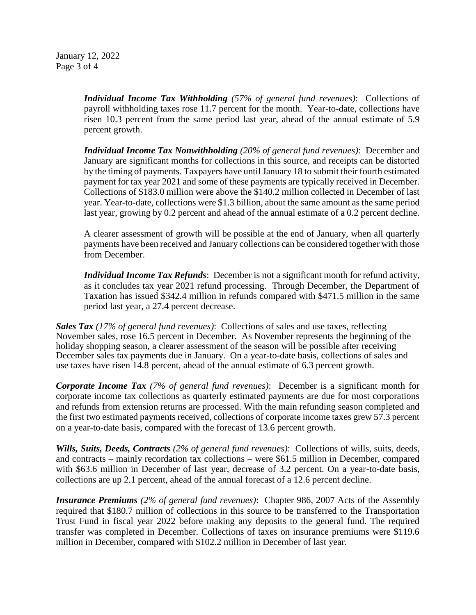January 12, 2022 Page 3 of 4

> *Individual Income Tax Withholding (57% of general fund revenues)*: Collections of payroll withholding taxes rose 11.7 percent for the month. Year-to-date, collections have risen 10.3 percent from the same period last year, ahead of the annual estimate of 5.9 percent growth.

> *Individual Income Tax Nonwithholding (20% of general fund revenues)*: December and January are significant months for collections in this source, and receipts can be distorted by the timing of payments. Taxpayers have until January 18 to submit their fourth estimated payment for tax year 2021 and some of these payments are typically received in December. Collections of \$183.0 million were above the \$140.2 million collected in December of last year. Year-to-date, collections were \$1.3 billion, about the same amount as the same period last year, growing by 0.2 percent and ahead of the annual estimate of a 0.2 percent decline.

> A clearer assessment of growth will be possible at the end of January, when all quarterly payments have been received and January collections can be considered together with those from December.

> *Individual Income Tax Refunds*: December is not a significant month for refund activity, as it concludes tax year 2021 refund processing. Through December, the Department of Taxation has issued \$342.4 million in refunds compared with \$471.5 million in the same period last year, a 27.4 percent decrease.

*Sales Tax (17% of general fund revenues)*: Collections of sales and use taxes, reflecting November sales, rose 16.5 percent in December. As November represents the beginning of the holiday shopping season, a clearer assessment of the season will be possible after receiving December sales tax payments due in January. On a year-to-date basis, collections of sales and use taxes have risen 14.8 percent, ahead of the annual estimate of 6.3 percent growth.

*Corporate Income Tax (7% of general fund revenues)*: December is a significant month for corporate income tax collections as quarterly estimated payments are due for most corporations and refunds from extension returns are processed. With the main refunding season completed and the first two estimated payments received, collections of corporate income taxes grew 57.3 percent on a year-to-date basis, compared with the forecast of 13.6 percent growth.

*Wills, Suits, Deeds, Contracts (2% of general fund revenues)*: Collections of wills, suits, deeds, and contracts – mainly recordation tax collections – were \$61.5 million in December, compared with \$63.6 million in December of last year, decrease of 3.2 percent. On a year-to-date basis, collections are up 2.1 percent, ahead of the annual forecast of a 12.6 percent decline.

*Insurance Premiums (2% of general fund revenues)*: Chapter 986, 2007 Acts of the Assembly required that \$180.7 million of collections in this source to be transferred to the Transportation Trust Fund in fiscal year 2022 before making any deposits to the general fund. The required transfer was completed in December. Collections of taxes on insurance premiums were \$119.6 million in December, compared with \$102.2 million in December of last year.